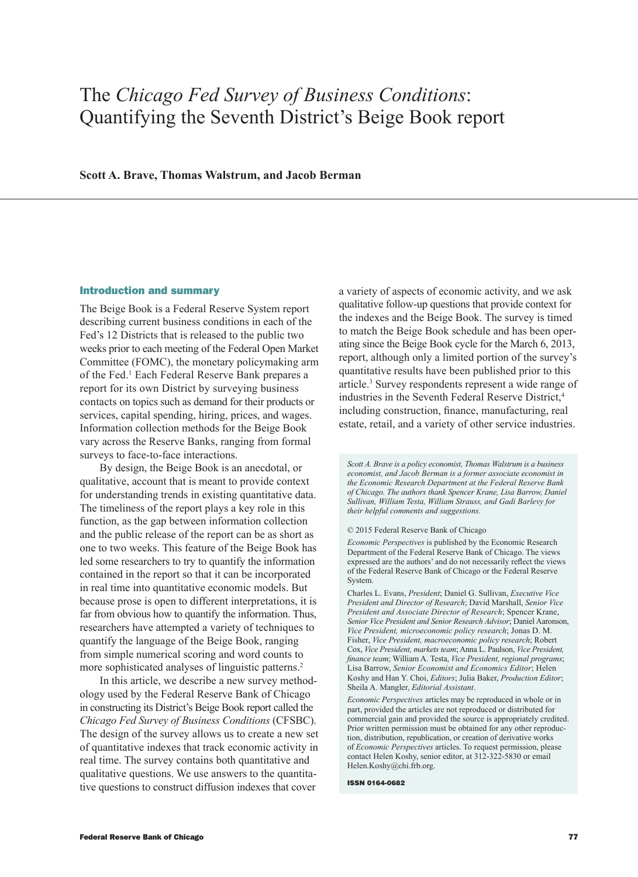# The *Chicago Fed Survey of Business Conditions*: Quantifying the Seventh District's Beige Book report

# **Scott A. Brave, Thomas Walstrum, and Jacob Berman**

#### Introduction and summary

The Beige Book is a Federal Reserve System report describing current business conditions in each of the Fed's 12 Districts that is released to the public two weeks prior to each meeting of the Federal Open Market Committee (FOMC), the monetary policymaking arm of the Fed.1 Each Federal Reserve Bank prepares a report for its own District by surveying business contacts on topics such as demand for their products or services, capital spending, hiring, prices, and wages. Information collection methods for the Beige Book vary across the Reserve Banks, ranging from formal surveys to face-to-face interactions.

By design, the Beige Book is an anecdotal, or qualitative, account that is meant to provide context for understanding trends in existing quantitative data. The timeliness of the report plays a key role in this function, as the gap between information collection and the public release of the report can be as short as one to two weeks. This feature of the Beige Book has led some researchers to try to quantify the information contained in the report so that it can be incorporated in real time into quantitative economic models. But because prose is open to different interpretations, it is far from obvious how to quantify the information. Thus, researchers have attempted a variety of techniques to quantify the language of the Beige Book, ranging from simple numerical scoring and word counts to more sophisticated analyses of linguistic patterns.<sup>2</sup>

In this article, we describe a new survey methodology used by the Federal Reserve Bank of Chicago in constructing its District's Beige Book report called the *Chicago Fed Survey of Business Conditions* (CFSBC). The design of the survey allows us to create a new set of quantitative indexes that track economic activity in real time. The survey contains both quantitative and qualitative questions. We use answers to the quantitative questions to construct diffusion indexes that cover

a variety of aspects of economic activity, and we ask qualitative follow-up questions that provide context for the indexes and the Beige Book. The survey is timed to match the Beige Book schedule and has been operating since the Beige Book cycle for the March 6, 2013, report, although only a limited portion of the survey's quantitative results have been published prior to this article.3 Survey respondents represent a wide range of industries in the Seventh Federal Reserve District,<sup>4</sup> including construction, finance, manufacturing, real estate, retail, and a variety of other service industries.

*Scott A. Brave is a policy economist, Thomas Walstrum is a business economist, and Jacob Berman is a former associate economist in the Economic Research Department at the Federal Reserve Bank of Chicago. The authors thank Spencer Krane, Lisa Barrow, Daniel Sullivan, William Testa, William Strauss, and Gadi Barlevy for their helpful comments and suggestions.*

© 2015 Federal Reserve Bank of Chicago

*Economic Perspectives* is published by the Economic Research Department of the Federal Reserve Bank of Chicago. The views expressed are the authors' and do not necessarily reflect the views of the Federal Reserve Bank of Chicago or the Federal Reserve System.

Charles L. Evans, *President*; Daniel G. Sullivan, *Executive Vice President and Director of Research*; David Marshall, *Senior Vice President and Associate Director of Research*; Spencer Krane, *Senior Vice President and Senior Research Advisor*; Daniel Aaronson, *Vice President, microeconomic policy research*; Jonas D. M. Fisher, *Vice President, macroeconomic policy research*; Robert Cox, *Vice President, markets team*; Anna L. Paulson, *Vice President, finance team*; William A. Testa, *Vice President, regional programs*; Lisa Barrow, *Senior Economist and Economics Editor*; Helen Koshy and Han Y. Choi, *Editors*; Julia Baker, *Production Editor*; Sheila A. Mangler, *Editorial Assistant*.

*Economic Perspectives* articles may be reproduced in whole or in part, provided the articles are not reproduced or distributed for commercial gain and provided the source is appropriately credited. Prior written permission must be obtained for any other reproduction, distribution, republication, or creation of derivative works of *Economic Perspectives* articles. To request permission, please contact Helen Koshy, senior editor, at 312-322-5830 or email Helen.Koshy@chi.frb.org.

ISSN 0164-0682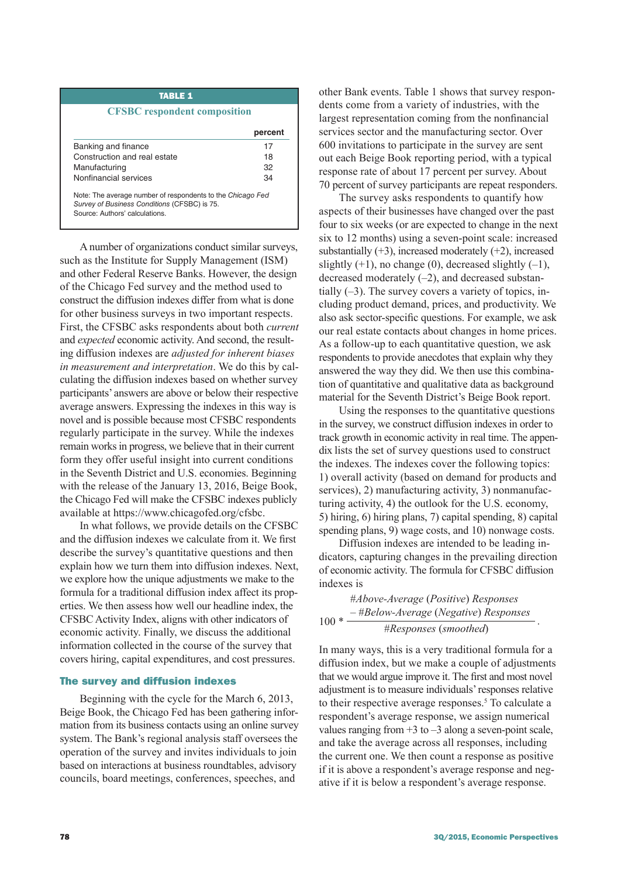## TABLE 1

## **CFSBC respondent composition**

|                                                                                                                                             | percent |
|---------------------------------------------------------------------------------------------------------------------------------------------|---------|
| Banking and finance                                                                                                                         | 17      |
| Construction and real estate                                                                                                                | 18      |
| Manufacturing                                                                                                                               | 32      |
| Nonfinancial services                                                                                                                       | 34      |
| Note: The average number of respondents to the Chicago Fed<br>Survey of Business Conditions (CFSBC) is 75.<br>Source: Authors' calculations |         |

A number of organizations conduct similar surveys, such as the Institute for Supply Management (ISM) and other Federal Reserve Banks. However, the design of the Chicago Fed survey and the method used to construct the diffusion indexes differ from what is done for other business surveys in two important respects. First, the CFSBC asks respondents about both *current* and *expected* economic activity. And second, the resulting diffusion indexes are *adjusted for inherent biases in measurement and interpretation*. We do this by calculating the diffusion indexes based on whether survey participants' answers are above or below their respective average answers. Expressing the indexes in this way is novel and is possible because most CFSBC respondents regularly participate in the survey. While the indexes remain works in progress, we believe that in their current form they offer useful insight into current conditions in the Seventh District and U.S. economies. Beginning with the release of the January 13, 2016, Beige Book, the Chicago Fed will make the CFSBC indexes publicly available at [https://www.chicagofed.org/cfsbc.](https://www.chicagofed.org/cfsbc)

In what follows, we provide details on the CFSBC and the diffusion indexes we calculate from it. We first describe the survey's quantitative questions and then explain how we turn them into diffusion indexes. Next, we explore how the unique adjustments we make to the formula for a traditional diffusion index affect its properties. We then assess how well our headline index, the CFSBC Activity Index, aligns with other indicators of economic activity. Finally, we discuss the additional information collected in the course of the survey that covers hiring, capital expenditures, and cost pressures.

#### The survey and diffusion indexes

Beginning with the cycle for the March 6, 2013, Beige Book, the Chicago Fed has been gathering information from its business contacts using an online survey system. The Bank's regional analysis staff oversees the operation of the survey and invites individuals to join based on interactions at business roundtables, advisory councils, board meetings, conferences, speeches, and

other Bank events. Table 1 shows that survey respondents come from a variety of industries, with the largest representation coming from the nonfinancial services sector and the manufacturing sector. Over 600 invitations to participate in the survey are sent out each Beige Book reporting period, with a typical response rate of about 17 percent per survey. About 70 percent of survey participants are repeat responders.

The survey asks respondents to quantify how aspects of their businesses have changed over the past four to six weeks (or are expected to change in the next six to 12 months) using a seven-point scale: increased substantially  $(+3)$ , increased moderately  $(+2)$ , increased slightly  $(+1)$ , no change  $(0)$ , decreased slightly  $(-1)$ , decreased moderately  $(-2)$ , and decreased substantially (–3). The survey covers a variety of topics, including product demand, prices, and productivity. We also ask sector-specific questions. For example, we ask our real estate contacts about changes in home prices. As a follow-up to each quantitative question, we ask respondents to provide anecdotes that explain why they answered the way they did. We then use this combination of quantitative and qualitative data as background material for the Seventh District's Beige Book report.

Using the responses to the quantitative questions in the survey, we construct diffusion indexes in order to track growth in economic activity in real time. The appendix lists the set of survey questions used to construct the indexes. The indexes cover the following topics: 1) overall activity (based on demand for products and services), 2) manufacturing activity, 3) nonmanufacturing activity, 4) the outlook for the U.S. economy, 5) hiring, 6) hiring plans, 7) capital spending, 8) capital spending plans, 9) wage costs, and 10) nonwage costs.

Diffusion indexes are intended to be leading indicators, capturing changes in the prevailing direction of economic activity. The formula for CFSBC diffusion indexes is

|        | #Above-Average (Positive) Responses  |  |
|--------|--------------------------------------|--|
| $100*$ | -#Below-Average (Negative) Responses |  |
|        | #Responses (smoothed)                |  |

In many ways, this is a very traditional formula for a diffusion index, but we make a couple of adjustments that we would argue improve it. The first and most novel adjustment is to measure individuals' responses relative to their respective average responses.<sup>5</sup> To calculate a respondent's average response, we assign numerical values ranging from  $+3$  to  $-3$  along a seven-point scale, and take the average across all responses, including the current one. We then count a response as positive if it is above a respondent's average response and negative if it is below a respondent's average response.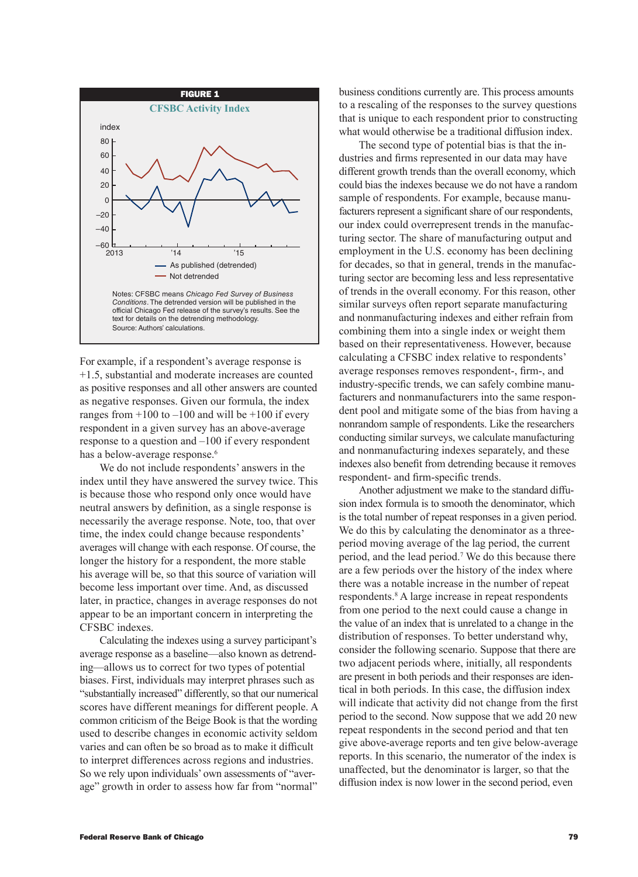

For example, if a respondent's average response is +1.5, substantial and moderate increases are counted as positive responses and all other answers are counted as negative responses. Given our formula, the index ranges from  $+100$  to  $-100$  and will be  $+100$  if every respondent in a given survey has an above-average response to a question and –100 if every respondent has a below-average response.<sup>6</sup>

We do not include respondents' answers in the index until they have answered the survey twice. This is because those who respond only once would have neutral answers by definition, as a single response is necessarily the average response. Note, too, that over time, the index could change because respondents' averages will change with each response. Of course, the longer the history for a respondent, the more stable his average will be, so that this source of variation will become less important over time. And, as discussed later, in practice, changes in average responses do not appear to be an important concern in interpreting the CFSBC indexes.

Calculating the indexes using a survey participant's average response as a baseline—also known as detrending—allows us to correct for two types of potential biases. First, individuals may interpret phrases such as "substantially increased" differently, so that our numerical scores have different meanings for different people. A common criticism of the Beige Book is that the wording used to describe changes in economic activity seldom varies and can often be so broad as to make it difficult to interpret differences across regions and industries. So we rely upon individuals' own assessments of "average" growth in order to assess how far from "normal"

business conditions currently are. This process amounts to a rescaling of the responses to the survey questions that is unique to each respondent prior to constructing what would otherwise be a traditional diffusion index.

The second type of potential bias is that the industries and firms represented in our data may have different growth trends than the overall economy, which could bias the indexes because we do not have a random sample of respondents. For example, because manufacturers represent a significant share of our respondents, our index could overrepresent trends in the manufacturing sector. The share of manufacturing output and employment in the U.S. economy has been declining for decades, so that in general, trends in the manufacturing sector are becoming less and less representative of trends in the overall economy. For this reason, other similar surveys often report separate manufacturing and nonmanufacturing indexes and either refrain from combining them into a single index or weight them based on their representativeness. However, because calculating a CFSBC index relative to respondents' average responses removes respondent-, firm-, and industry-specific trends, we can safely combine manufacturers and nonmanufacturers into the same respondent pool and mitigate some of the bias from having a nonrandom sample of respondents. Like the researchers conducting similar surveys, we calculate manufacturing and nonmanufacturing indexes separately, and these indexes also benefit from detrending because it removes respondent- and firm-specific trends.

Another adjustment we make to the standard diffusion index formula is to smooth the denominator, which is the total number of repeat responses in a given period. We do this by calculating the denominator as a threeperiod moving average of the lag period, the current period, and the lead period.<sup>7</sup> We do this because there are a few periods over the history of the index where there was a notable increase in the number of repeat respondents.<sup>8</sup> A large increase in repeat respondents from one period to the next could cause a change in the value of an index that is unrelated to a change in the distribution of responses. To better understand why, consider the following scenario. Suppose that there are two adjacent periods where, initially, all respondents are present in both periods and their responses are identical in both periods. In this case, the diffusion index will indicate that activity did not change from the first period to the second. Now suppose that we add 20 new repeat respondents in the second period and that ten give above-average reports and ten give below-average reports. In this scenario, the numerator of the index is unaffected, but the denominator is larger, so that the diffusion index is now lower in the second period, even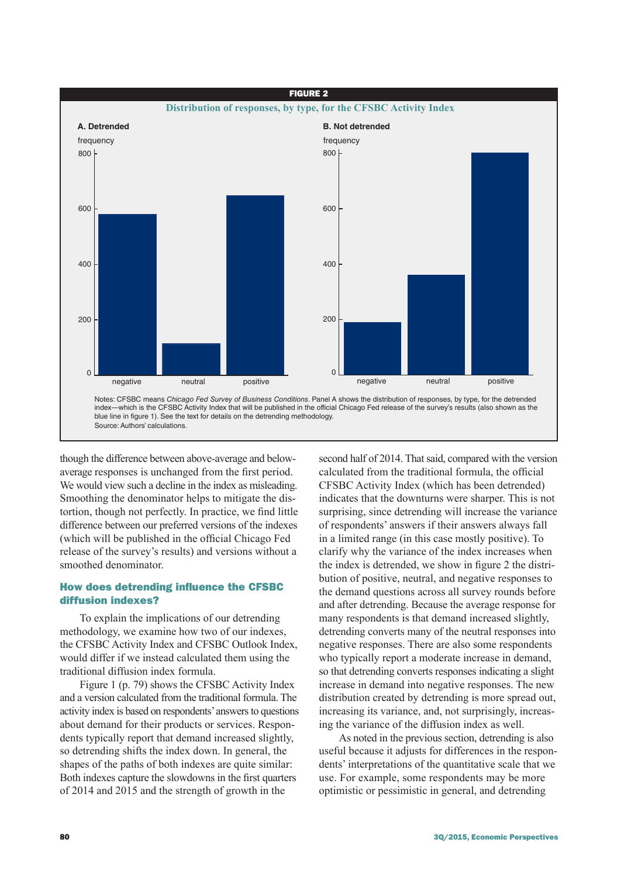

though the difference between above-average and belowaverage responses is unchanged from the first period. We would view such a decline in the index as misleading. Smoothing the denominator helps to mitigate the distortion, though not perfectly. In practice, we find little difference between our preferred versions of the indexes (which will be published in the official Chicago Fed release of the survey's results) and versions without a smoothed denominator.

# How does detrending influence the CFSBC diffusion indexes?

To explain the implications of our detrending methodology, we examine how two of our indexes, the CFSBC Activity Index and CFSBC Outlook Index, would differ if we instead calculated them using the traditional diffusion index formula.

Figure 1 (p. 79) shows the CFSBC Activity Index and a version calculated from the traditional formula. The activity index is based on respondents' answers to questions about demand for their products or services. Respondents typically report that demand increased slightly, so detrending shifts the index down. In general, the shapes of the paths of both indexes are quite similar: Both indexes capture the slowdowns in the first quarters of 2014 and 2015 and the strength of growth in the

second half of 2014. That said, compared with the version calculated from the traditional formula, the official CFSBC Activity Index (which has been detrended) indicates that the downturns were sharper. This is not surprising, since detrending will increase the variance of respondents' answers if their answers always fall in a limited range (in this case mostly positive). To clarify why the variance of the index increases when the index is detrended, we show in figure 2 the distribution of positive, neutral, and negative responses to the demand questions across all survey rounds before and after detrending. Because the average response for many respondents is that demand increased slightly, detrending converts many of the neutral responses into negative responses. There are also some respondents who typically report a moderate increase in demand, so that detrending converts responses indicating a slight increase in demand into negative responses. The new distribution created by detrending is more spread out, increasing its variance, and, not surprisingly, increasing the variance of the diffusion index as well.

As noted in the previous section, detrending is also useful because it adjusts for differences in the respondents' interpretations of the quantitative scale that we use. For example, some respondents may be more optimistic or pessimistic in general, and detrending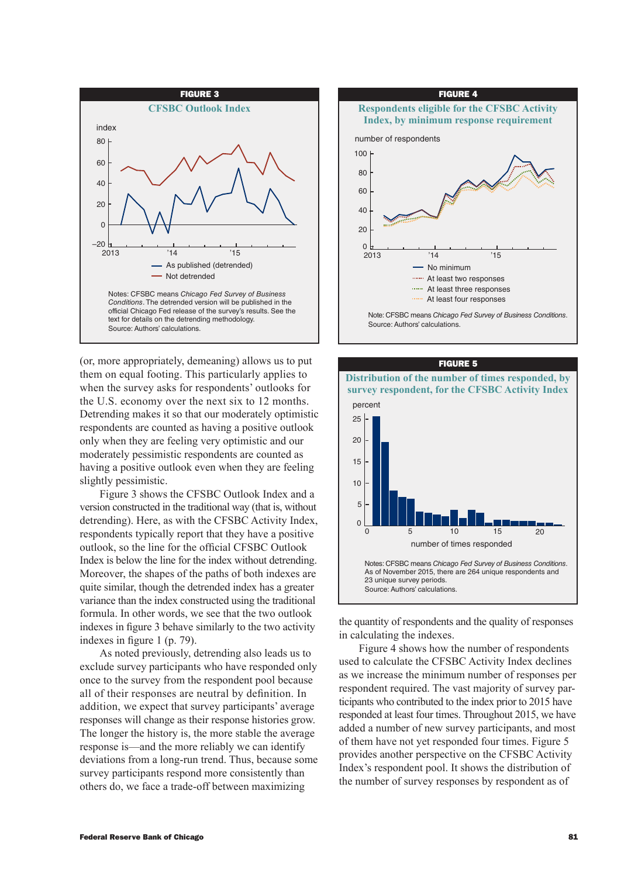

(or, more appropriately, demeaning) allows us to put them on equal footing. This particularly applies to when the survey asks for respondents' outlooks for the U.S. economy over the next six to 12 months. Detrending makes it so that our moderately optimistic respondents are counted as having a positive outlook only when they are feeling very optimistic and our moderately pessimistic respondents are counted as having a positive outlook even when they are feeling slightly pessimistic.

Figure 3 shows the CFSBC Outlook Index and a version constructed in the traditional way (that is, without detrending). Here, as with the CFSBC Activity Index, respondents typically report that they have a positive outlook, so the line for the official CFSBC Outlook Index is below the line for the index without detrending. Moreover, the shapes of the paths of both indexes are quite similar, though the detrended index has a greater variance than the index constructed using the traditional formula. In other words, we see that the two outlook indexes in figure 3 behave similarly to the two activity indexes in figure 1 (p. 79).

As noted previously, detrending also leads us to exclude survey participants who have responded only once to the survey from the respondent pool because all of their responses are neutral by definition. In addition, we expect that survey participants' average responses will change as their response histories grow. The longer the history is, the more stable the average response is—and the more reliably we can identify deviations from a long-run trend. Thus, because some survey participants respond more consistently than others do, we face a trade-off between maximizing





the quantity of respondents and the quality of responses in calculating the indexes.

Figure 4 shows how the number of respondents used to calculate the CFSBC Activity Index declines as we increase the minimum number of responses per respondent required. The vast majority of survey participants who contributed to the index prior to 2015 have responded at least four times. Throughout 2015, we have added a number of new survey participants, and most of them have not yet responded four times. Figure 5 provides another perspective on the CFSBC Activity Index's respondent pool. It shows the distribution of the number of survey responses by respondent as of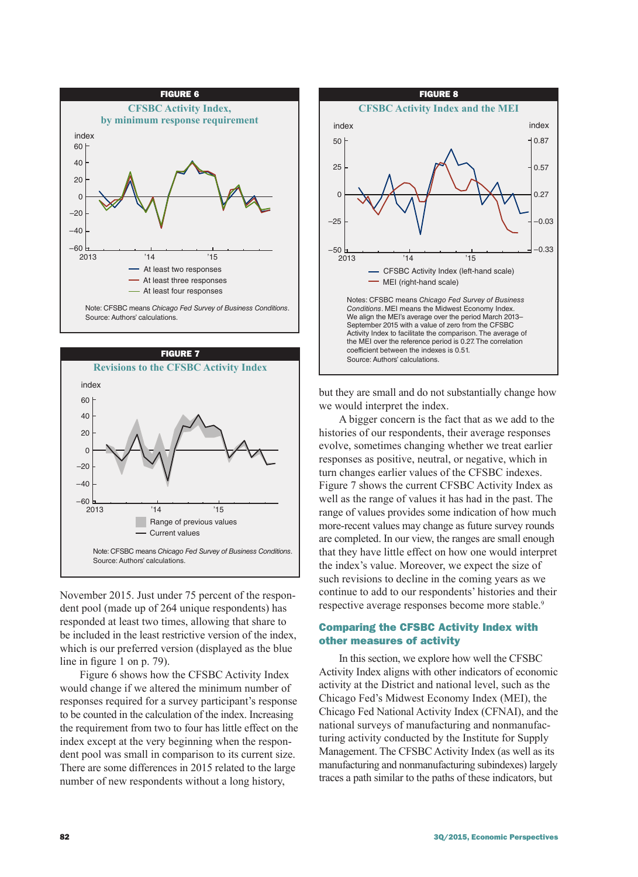



November 2015. Just under 75 percent of the respondent pool (made up of 264 unique respondents) has responded at least two times, allowing that share to be included in the least restrictive version of the index, which is our preferred version (displayed as the blue line in figure 1 on p. 79).

Figure 6 shows how the CFSBC Activity Index would change if we altered the minimum number of responses required for a survey participant's response to be counted in the calculation of the index. Increasing the requirement from two to four has little effect on the index except at the very beginning when the respondent pool was small in comparison to its current size. There are some differences in 2015 related to the large number of new respondents without a long history,



but they are small and do not substantially change how we would interpret the index.

A bigger concern is the fact that as we add to the histories of our respondents, their average responses evolve, sometimes changing whether we treat earlier responses as positive, neutral, or negative, which in turn changes earlier values of the CFSBC indexes. Figure 7 shows the current CFSBC Activity Index as well as the range of values it has had in the past. The range of values provides some indication of how much more-recent values may change as future survey rounds are completed. In our view, the ranges are small enough that they have little effect on how one would interpret the index's value. Moreover, we expect the size of such revisions to decline in the coming years as we continue to add to our respondents' histories and their respective average responses become more stable.<sup>9</sup>

# Comparing the CFSBC Activity Index with other measures of activity

In this section, we explore how well the CFSBC Activity Index aligns with other indicators of economic activity at the District and national level, such as the Chicago Fed's Midwest Economy Index (MEI), the Chicago Fed National Activity Index (CFNAI), and the national surveys of manufacturing and nonmanufacturing activity conducted by the Institute for Supply Management. The CFSBC Activity Index (as well as its manufacturing and nonmanufacturing subindexes) largely traces a path similar to the paths of these indicators, but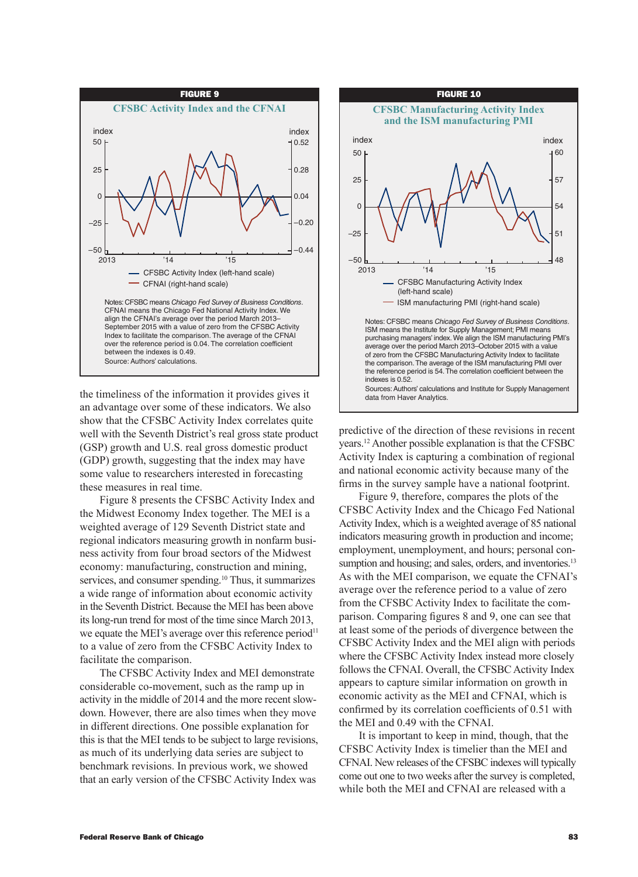

the timeliness of the information it provides gives it an advantage over some of these indicators. We also show that the CFSBC Activity Index correlates quite well with the Seventh District's real gross state product (GSP) growth and U.S. real gross domestic product (GDP) growth, suggesting that the index may have some value to researchers interested in forecasting these measures in real time.

Figure 8 presents the CFSBC Activity Index and the Midwest Economy Index together. The MEI is a weighted average of 129 Seventh District state and regional indicators measuring growth in nonfarm business activity from four broad sectors of the Midwest economy: manufacturing, construction and mining, services, and consumer spending.10 Thus, it summarizes a wide range of information about economic activity in the Seventh District. Because the MEI has been above its long-run trend for most of the time since March 2013, we equate the MEI's average over this reference period<sup>11</sup> to a value of zero from the CFSBC Activity Index to facilitate the comparison.

The CFSBC Activity Index and MEI demonstrate considerable co-movement, such as the ramp up in activity in the middle of 2014 and the more recent slowdown. However, there are also times when they move in different directions. One possible explanation for this is that the MEI tends to be subject to large revisions, as much of its underlying data series are subject to benchmark revisions. In previous work, we showed that an early version of the CFSBC Activity Index was



predictive of the direction of these revisions in recent years.12 Another possible explanation is that the CFSBC Activity Index is capturing a combination of regional and national economic activity because many of the firms in the survey sample have a national footprint.

Figure 9, therefore, compares the plots of the CFSBC Activity Index and the Chicago Fed National Activity Index, which is a weighted average of 85 national indicators measuring growth in production and income; employment, unemployment, and hours; personal consumption and housing; and sales, orders, and inventories.<sup>13</sup> As with the MEI comparison, we equate the CFNAI's average over the reference period to a value of zero from the CFSBC Activity Index to facilitate the comparison. Comparing figures 8 and 9, one can see that at least some of the periods of divergence between the CFSBC Activity Index and the MEI align with periods where the CFSBC Activity Index instead more closely follows the CFNAI. Overall, the CFSBC Activity Index appears to capture similar information on growth in economic activity as the MEI and CFNAI, which is confirmed by its correlation coefficients of 0.51 with the MEI and 0.49 with the CFNAI.

It is important to keep in mind, though, that the CFSBC Activity Index is timelier than the MEI and CFNAI. New releases of the CFSBC indexes will typically come out one to two weeks after the survey is completed, while both the MEI and CFNAI are released with a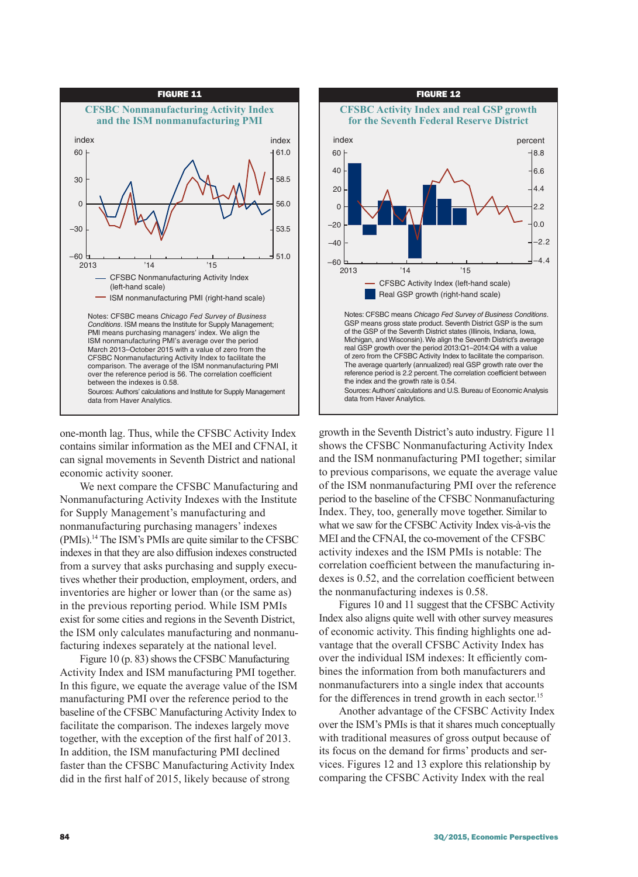

one-month lag. Thus, while the CFSBC Activity Index contains similar information as the MEI and CFNAI, it can signal movements in Seventh District and national economic activity sooner.

We next compare the CFSBC Manufacturing and Nonmanufacturing Activity Indexes with the Institute for Supply Management's manufacturing and nonmanufacturing purchasing managers' indexes (PMIs).14 The ISM's PMIs are quite similar to the CFSBC indexes in that they are also diffusion indexes constructed from a survey that asks purchasing and supply executives whether their production, employment, orders, and inventories are higher or lower than (or the same as) in the previous reporting period. While ISM PMIs exist for some cities and regions in the Seventh District, the ISM only calculates manufacturing and nonmanufacturing indexes separately at the national level.

Figure 10 (p. 83) shows the CFSBC Manufacturing Activity Index and ISM manufacturing PMI together. In this figure, we equate the average value of the ISM manufacturing PMI over the reference period to the baseline of the CFSBC Manufacturing Activity Index to facilitate the comparison. The indexes largely move together, with the exception of the first half of 2013. In addition, the ISM manufacturing PMI declined faster than the CFSBC Manufacturing Activity Index did in the first half of 2015, likely because of strong



growth in the Seventh District's auto industry. Figure 11 shows the CFSBC Nonmanufacturing Activity Index and the ISM nonmanufacturing PMI together; similar to previous comparisons, we equate the average value of the ISM nonmanufacturing PMI over the reference period to the baseline of the CFSBC Nonmanufacturing Index. They, too, generally move together. Similar to what we saw for the CFSBC Activity Index vis-à-vis the MEI and the CFNAI, the co-movement of the CFSBC activity indexes and the ISM PMIs is notable: The correlation coefficient between the manufacturing indexes is 0.52, and the correlation coefficient between the nonmanufacturing indexes is 0.58.

Figures 10 and 11 suggest that the CFSBC Activity Index also aligns quite well with other survey measures of economic activity. This finding highlights one advantage that the overall CFSBC Activity Index has over the individual ISM indexes: It efficiently combines the information from both manufacturers and nonmanufacturers into a single index that accounts for the differences in trend growth in each sector.<sup>15</sup>

Another advantage of the CFSBC Activity Index over the ISM's PMIs is that it shares much conceptually with traditional measures of gross output because of its focus on the demand for firms' products and services. Figures 12 and 13 explore this relationship by comparing the CFSBC Activity Index with the real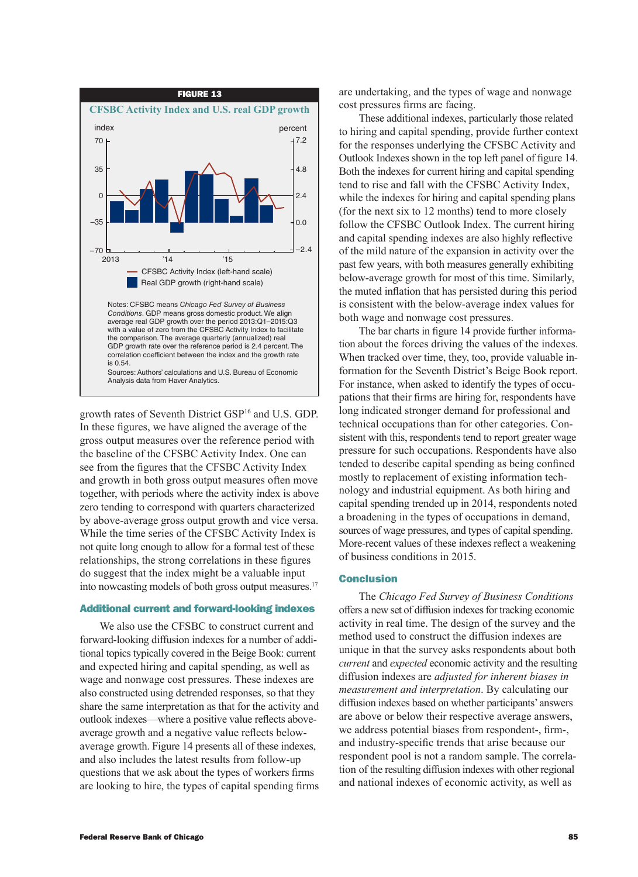

growth rates of Seventh District GSP16 and U.S. GDP. In these figures, we have aligned the average of the gross output measures over the reference period with the baseline of the CFSBC Activity Index. One can see from the figures that the CFSBC Activity Index and growth in both gross output measures often move together, with periods where the activity index is above zero tending to correspond with quarters characterized by above-average gross output growth and vice versa. While the time series of the CFSBC Activity Index is not quite long enough to allow for a formal test of these relationships, the strong correlations in these figures do suggest that the index might be a valuable input into nowcasting models of both gross output measures.<sup>17</sup>

## Additional current and forward-looking indexes

We also use the CFSBC to construct current and forward-looking diffusion indexes for a number of additional topics typically covered in the Beige Book: current and expected hiring and capital spending, as well as wage and nonwage cost pressures. These indexes are also constructed using detrended responses, so that they share the same interpretation as that for the activity and outlook indexes—where a positive value reflects aboveaverage growth and a negative value reflects belowaverage growth. Figure 14 presents all of these indexes, and also includes the latest results from follow-up questions that we ask about the types of workers firms are looking to hire, the types of capital spending firms are undertaking, and the types of wage and nonwage cost pressures firms are facing.

These additional indexes, particularly those related to hiring and capital spending, provide further context for the responses underlying the CFSBC Activity and Outlook Indexes shown in the top left panel of figure 14. Both the indexes for current hiring and capital spending tend to rise and fall with the CFSBC Activity Index, while the indexes for hiring and capital spending plans (for the next six to 12 months) tend to more closely follow the CFSBC Outlook Index. The current hiring and capital spending indexes are also highly reflective of the mild nature of the expansion in activity over the past few years, with both measures generally exhibiting below-average growth for most of this time. Similarly, the muted inflation that has persisted during this period is consistent with the below-average index values for both wage and nonwage cost pressures.

The bar charts in figure 14 provide further information about the forces driving the values of the indexes. When tracked over time, they, too, provide valuable information for the Seventh District's Beige Book report. For instance, when asked to identify the types of occupations that their firms are hiring for, respondents have long indicated stronger demand for professional and technical occupations than for other categories. Consistent with this, respondents tend to report greater wage pressure for such occupations. Respondents have also tended to describe capital spending as being confined mostly to replacement of existing information technology and industrial equipment. As both hiring and capital spending trended up in 2014, respondents noted a broadening in the types of occupations in demand, sources of wage pressures, and types of capital spending. More-recent values of these indexes reflect a weakening of business conditions in 2015.

# Conclusion

The *Chicago Fed Survey of Business Conditions* offers a new set of diffusion indexes for tracking economic activity in real time. The design of the survey and the method used to construct the diffusion indexes are unique in that the survey asks respondents about both *current* and *expected* economic activity and the resulting diffusion indexes are *adjusted for inherent biases in measurement and interpretation*. By calculating our diffusion indexes based on whether participants' answers are above or below their respective average answers, we address potential biases from respondent-, firm-, and industry-specific trends that arise because our respondent pool is not a random sample. The correlation of the resulting diffusion indexes with other regional and national indexes of economic activity, as well as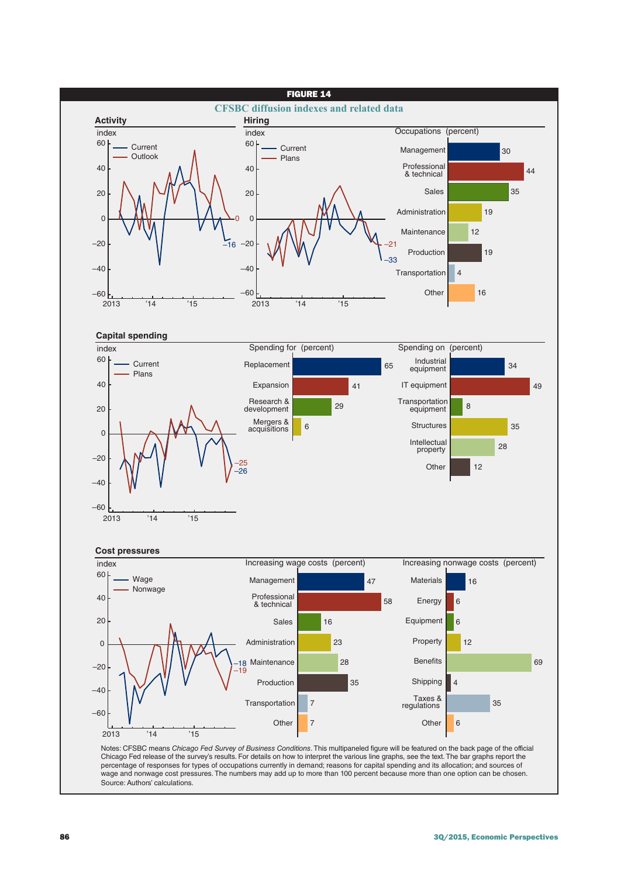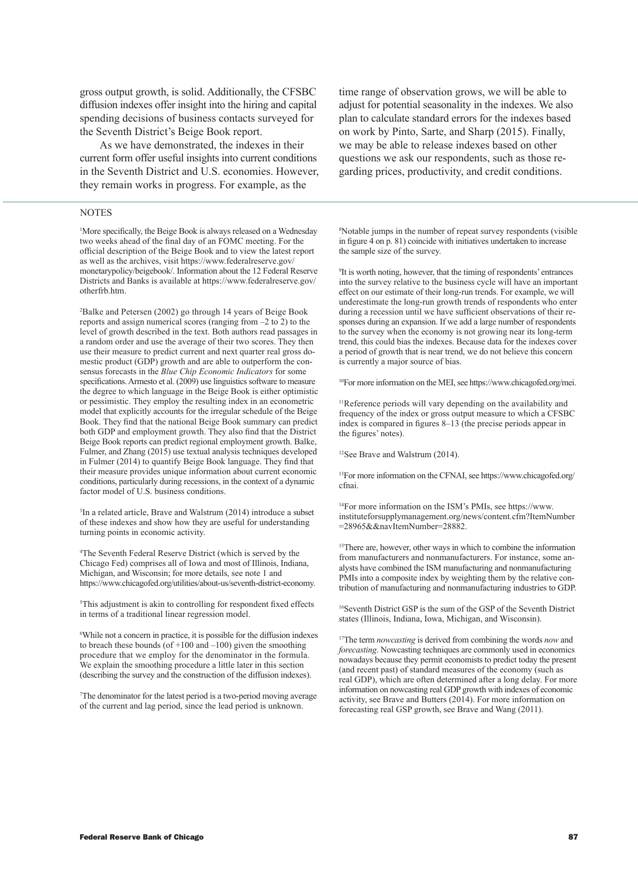gross output growth, is solid. Additionally, the CFSBC diffusion indexes offer insight into the hiring and capital spending decisions of business contacts surveyed for the Seventh District's Beige Book report.

As we have demonstrated, the indexes in their current form offer useful insights into current conditions in the Seventh District and U.S. economies. However, they remain works in progress. For example, as the

#### NOTES

<sup>1</sup>More specifically, the Beige Book is always released on a Wednesday two weeks ahead of the final day of an FOMC meeting. For the official description of the Beige Book and to view the latest report as well as the archives, visit [https://www.federalreserve.gov/](https://www.federalreserve.gov/monetarypolicy/beigebook/) [monetarypolicy/beigebook/.](https://www.federalreserve.gov/monetarypolicy/beigebook/) Information about the 12 Federal Reserve Districts and Banks is available at [https://www.federalreserve.gov/](https://www.federalreserve.gov/otherfrb.htm) [otherfrb.htm](https://www.federalreserve.gov/otherfrb.htm).

2 Balke and Petersen (2002) go through 14 years of Beige Book reports and assign numerical scores (ranging from  $-2$  to  $2$ ) to the level of growth described in the text. Both authors read passages in a random order and use the average of their two scores. They then use their measure to predict current and next quarter real gross domestic product (GDP) growth and are able to outperform the consensus forecasts in the *Blue Chip Economic Indicators* for some specifications. Armesto et al. (2009) use linguistics software to measure the degree to which language in the Beige Book is either optimistic or pessimistic. They employ the resulting index in an econometric model that explicitly accounts for the irregular schedule of the Beige Book. They find that the national Beige Book summary can predict both GDP and employment growth. They also find that the District Beige Book reports can predict regional employment growth. Balke, Fulmer, and Zhang (2015) use textual analysis techniques developed in Fulmer (2014) to quantify Beige Book language. They find that their measure provides unique information about current economic conditions, particularly during recessions, in the context of a dynamic factor model of U.S. business conditions.

3 In a related article, Brave and Walstrum (2014) introduce a subset of these indexes and show how they are useful for understanding turning points in economic activity.

4 The Seventh Federal Reserve District (which is served by the Chicago Fed) comprises all of Iowa and most of Illinois, Indiana, Michigan, and Wisconsin; for more details, see note 1 and [https://www.chicagofed.org/utilities/about-us/seventh-district-economy.](https://www.chicagofed.org/utilities/about-us/seventh-district-economy)

5 This adjustment is akin to controlling for respondent fixed effects in terms of a traditional linear regression model.

6 While not a concern in practice, it is possible for the diffusion indexes to breach these bounds (of  $+100$  and  $-100$ ) given the smoothing procedure that we employ for the denominator in the formula. We explain the smoothing procedure a little later in this section (describing the survey and the construction of the diffusion indexes).

7 The denominator for the latest period is a two-period moving average of the current and lag period, since the lead period is unknown.

time range of observation grows, we will be able to adjust for potential seasonality in the indexes. We also plan to calculate standard errors for the indexes based on work by Pinto, Sarte, and Sharp (2015). Finally, we may be able to release indexes based on other questions we ask our respondents, such as those regarding prices, productivity, and credit conditions.

8 Notable jumps in the number of repeat survey respondents (visible in figure 4 on p. 81) coincide with initiatives undertaken to increase the sample size of the survey.

9 It is worth noting, however, that the timing of respondents' entrances into the survey relative to the business cycle will have an important effect on our estimate of their long-run trends. For example, we will underestimate the long-run growth trends of respondents who enter during a recession until we have sufficient observations of their responses during an expansion. If we add a large number of respondents to the survey when the economy is not growing near its long-term trend, this could bias the indexes. Because data for the indexes cover a period of growth that is near trend, we do not believe this concern is currently a major source of bias.

10For more information on the MEI, see<https://www.chicagofed.org/mei>.

11Reference periods will vary depending on the availability and frequency of the index or gross output measure to which a CFSBC index is compared in figures 8–13 (the precise periods appear in the figures' notes).

12See Brave and Walstrum (2014).

13For more information on the CFNAI, see [https://www.chicagofed.org/](https://www.chicagofed.org/cfnai) [cfnai.](https://www.chicagofed.org/cfnai)

14For more information on the ISM's PMIs, see [https://www.](https://www.instituteforsupplymanagement.org/news/content.cfm?ItemNumber=28965&&navItemNumber=28882) [instituteforsupplymanagement.org/news/content.cfm?ItemNumber](https://www.instituteforsupplymanagement.org/news/content.cfm?ItemNumber=28965&&navItemNumber=28882) [=28965&&navItemNumber=28882.](https://www.instituteforsupplymanagement.org/news/content.cfm?ItemNumber=28965&&navItemNumber=28882)

<sup>15</sup>There are, however, other ways in which to combine the information from manufacturers and nonmanufacturers. For instance, some analysts have combined the ISM manufacturing and nonmanufacturing PMIs into a composite index by weighting them by the relative contribution of manufacturing and nonmanufacturing industries to GDP.

16Seventh District GSP is the sum of the GSP of the Seventh District states (Illinois, Indiana, Iowa, Michigan, and Wisconsin).

17The term *nowcasting* is derived from combining the words *now* and *forecasting*. Nowcasting techniques are commonly used in economics nowadays because they permit economists to predict today the present (and recent past) of standard measures of the economy (such as real GDP), which are often determined after a long delay. For more information on nowcasting real GDP growth with indexes of economic activity, see Brave and Butters (2014). For more information on forecasting real GSP growth, see Brave and Wang (2011).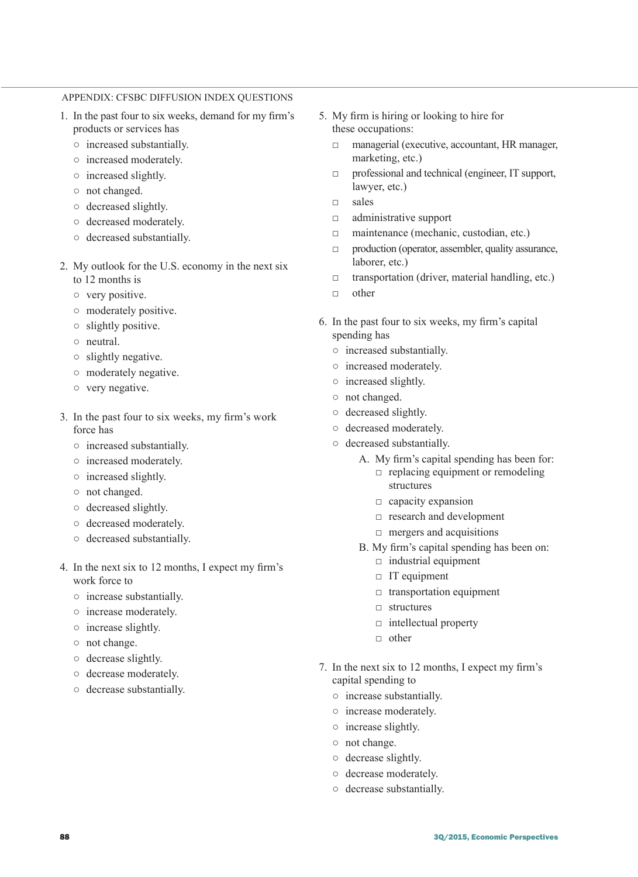# APPENDIX: CFSBC DIFFUSION INDEX QUESTIONS

- 1. In the past four to six weeks, demand for my firm's products or services has
	- increased substantially.
	- increased moderately.
	- increased slightly.
	- not changed.
	- decreased slightly.
	- decreased moderately.
	- decreased substantially.
- 2. My outlook for the U.S. economy in the next six to 12 months is
	- very positive.
	- moderately positive.
	- slightly positive.
	- neutral.
	- slightly negative.
	- moderately negative.
	- very negative.
- 3. In the past four to six weeks, my firm's work force has
	- increased substantially.
	- increased moderately.
	- increased slightly.
	- not changed.
	- decreased slightly.
	- decreased moderately.
	- decreased substantially.
- 4. In the next six to 12 months, I expect my firm's work force to
	- increase substantially.
	- increase moderately.
	- increase slightly.
	- not change.
	- decrease slightly.
	- decrease moderately.
	- decrease substantially.
- 5. My firm is hiring or looking to hire for these occupations:
	- □ managerial (executive, accountant, HR manager, marketing, etc.)
	- □ professional and technical (engineer, IT support, lawyer, etc.)
	- □ sales
	- □ administrative support
	- □ maintenance (mechanic, custodian, etc.)
	- □ production (operator, assembler, quality assurance, laborer, etc.)
	- $\Box$  transportation (driver, material handling, etc.)
	- □ other
- 6. In the past four to six weeks, my firm's capital spending has
	- increased substantially.
	- increased moderately.
	- increased slightly.
	- not changed.
	- decreased slightly.
	- decreased moderately.
	- decreased substantially.
		- A. My firm's capital spending has been for:  $\Box$  replacing equipment or remodeling
			- structures
			- $\Box$  capacity expansion
			- □ research and development
			- $\Box$  mergers and acquisitions
		- B. My firm's capital spending has been on:
			- $\Box$  industrial equipment
			- □ IT equipment
			- $\Box$  transportation equipment
			- □ structures
			- $\Box$  intellectual property
			- □ other
- 7. In the next six to 12 months, I expect my firm's capital spending to
	- increase substantially.
	- increase moderately.
	- increase slightly.
	- not change.
	- decrease slightly.
	- decrease moderately.
	- decrease substantially.